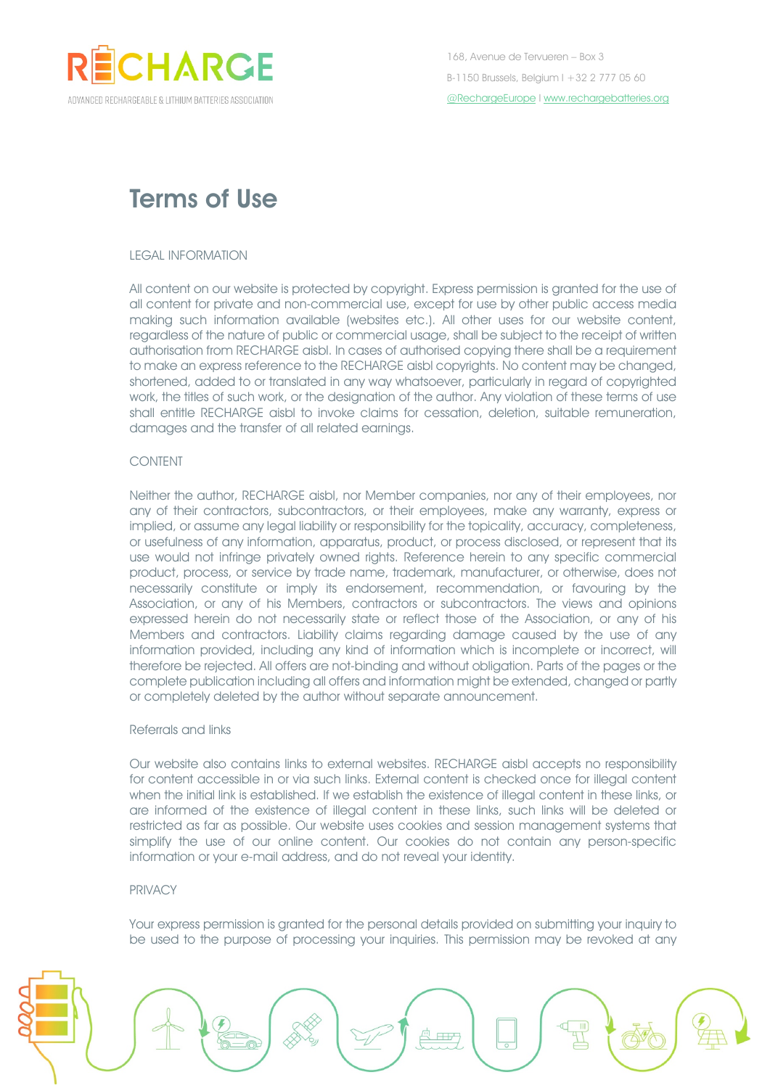

# Terms of Use

#### LEGAL INFORMATION

All content on our website is protected by copyright. Express permission is granted for the use of all content for private and non-commercial use, except for use by other public access media making such information available (websites etc.). All other uses for our website content, regardless of the nature of public or commercial usage, shall be subject to the receipt of written authorisation from RECHARGE aisbl. In cases of authorised copying there shall be a requirement to make an express reference to the RECHARGE aisbl copyrights. No content may be changed, shortened, added to or translated in any way whatsoever, particularly in regard of copyrighted work, the titles of such work, or the designation of the author. Any violation of these terms of use shall entitle RECHARGE aisbl to invoke claims for cessation, deletion, suitable remuneration, damages and the transfer of all related earnings.

# CONTENT

Neither the author, RECHARGE aisbl, nor Member companies, nor any of their employees, nor any of their contractors, subcontractors, or their employees, make any warranty, express or implied, or assume any legal liability or responsibility for the topicality, accuracy, completeness, or usefulness of any information, apparatus, product, or process disclosed, or represent that its use would not infringe privately owned rights. Reference herein to any specific commercial product, process, or service by trade name, trademark, manufacturer, or otherwise, does not necessarily constitute or imply its endorsement, recommendation, or favouring by the Association, or any of his Members, contractors or subcontractors. The views and opinions expressed herein do not necessarily state or reflect those of the Association, or any of his Members and contractors. Liability claims regarding damage caused by the use of any information provided, including any kind of information which is incomplete or incorrect, will therefore be rejected. All offers are not-binding and without obligation. Parts of the pages or the complete publication including all offers and information might be extended, changed or partly or completely deleted by the author without separate announcement.

## Referrals and links

Our website also contains links to external websites. RECHARGE aisbl accepts no responsibility for content accessible in or via such links. External content is checked once for illegal content when the initial link is established. If we establish the existence of illegal content in these links, or are informed of the existence of illegal content in these links, such links will be deleted or restricted as far as possible. Our website uses cookies and session management systems that simplify the use of our online content. Our cookies do not contain any person-specific information or your e-mail address, and do not reveal your identity.

## PRIVACY

Your express permission is granted for the personal details provided on submitting your inquiry to be used to the purpose of processing your inquiries. This permission may be revoked at any